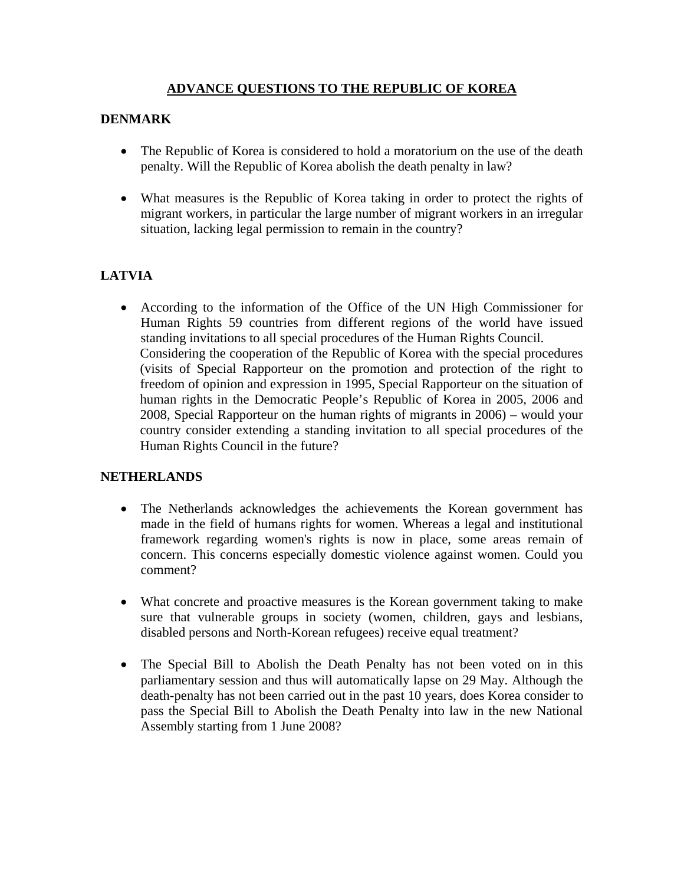# **ADVANCE QUESTIONS TO THE REPUBLIC OF KOREA**

# **DENMARK**

- The Republic of Korea is considered to hold a moratorium on the use of the death penalty. Will the Republic of Korea abolish the death penalty in law?
- What measures is the Republic of Korea taking in order to protect the rights of migrant workers, in particular the large number of migrant workers in an irregular situation, lacking legal permission to remain in the country?

# **LATVIA**

• According to the information of the Office of the UN High Commissioner for Human Rights 59 countries from different regions of the world have issued standing invitations to all special procedures of the Human Rights Council. Considering the cooperation of the Republic of Korea with the special procedures (visits of Special Rapporteur on the promotion and protection of the right to freedom of opinion and expression in 1995, Special Rapporteur on the situation of human rights in the Democratic People's Republic of Korea in 2005, 2006 and 2008, Special Rapporteur on the human rights of migrants in 2006) – would your country consider extending a standing invitation to all special procedures of the Human Rights Council in the future?

## **NETHERLANDS**

- The Netherlands acknowledges the achievements the Korean government has made in the field of humans rights for women. Whereas a legal and institutional framework regarding women's rights is now in place, some areas remain of concern. This concerns especially domestic violence against women. Could you comment?
- What concrete and proactive measures is the Korean government taking to make sure that vulnerable groups in society (women, children, gays and lesbians, disabled persons and North-Korean refugees) receive equal treatment?
- The Special Bill to Abolish the Death Penalty has not been voted on in this parliamentary session and thus will automatically lapse on 29 May. Although the death-penalty has not been carried out in the past 10 years, does Korea consider to pass the Special Bill to Abolish the Death Penalty into law in the new National Assembly starting from 1 June 2008?